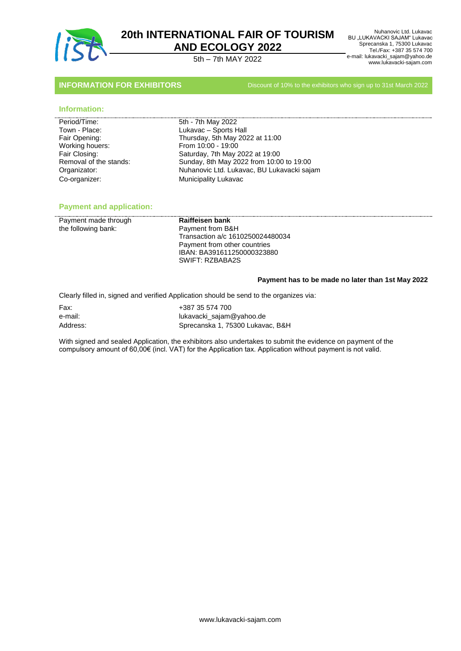

 Nuhanovic Ltd. Lukavac BU "LUKAVACKI SAJAM" Lukavac Sprecanska 1, 75300 Lukavac Tel./Fax: +387 35 574 700 e-mail: lukavacki\_sajam@yahoo.de www.lukavacki-sajam.com 5th – 7th MAY 2022

**INFORMATION FOR EXHIBITORS** Discount of 10% to the exhibitors who sign up to 31st March 2022

## **Information:**

| Period/Time:           |
|------------------------|
| Town - Place:          |
| Fair Opening:          |
| Working houers:        |
| Fair Closing:          |
| Removal of the stands: |
| Organizator:           |
| Co-organizer:          |

5th - 7th May 2022 Lukavac – Sports Hall Thursday, 5th May 2022 at 11:00 From 10:00 - 19:00 Saturday, 7th May 2022 at 19:00 Sunday, 8th May 2022 from 10:00 to 19:00 Nuhanovic Ltd. Lukavac, BU Lukavacki sajam Co-organizer: Municipality Lukavac

# **Payment and application:**

| Raiffeisen bank                  |
|----------------------------------|
| Payment from B&H                 |
| Transaction a/c 1610250024480034 |
| Payment from other countries     |
| IBAN: BA391611250000323880       |
| SWIFT: RZBABA2S                  |
|                                  |

## **Payment has to be made no later than 1st May 2022**

Clearly filled in, signed and verified Application should be send to the organizes via:

Fax: +387 35 574 700 e-mail: lukavacki\_sajam@yahoo.de Address: Sprecanska 1, 75300 Lukavac, B&H

With signed and sealed Application, the exhibitors also undertakes to submit the evidence on payment of the compulsory amount of 60,00€ (incl. VAT) for the Application tax. Application without payment is not valid.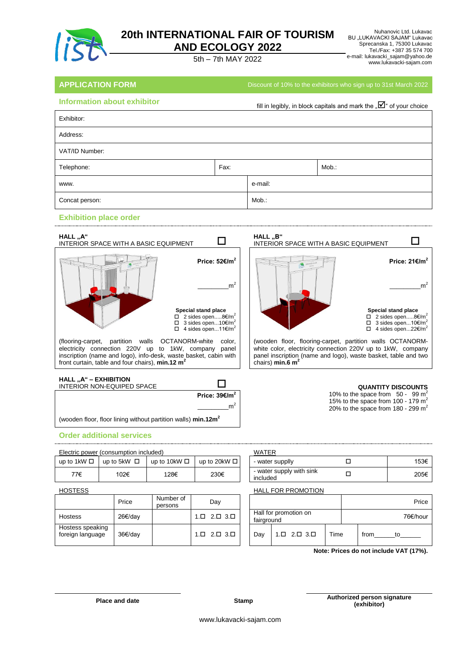

BU "LUKAVACKI SAJAM" Lukavac Sprecanska 1, 75300 Lukavac Tel./Fax: +387 35 574 700 e-mail: lukavacki\_sajam@yahoo.de www.lukavacki-sajam.com 5th – 7th MAY 2022

Nuhanovic Ltd. Lukavac

**APPLICATION FORM Discount of 10% to the exhibitors who sign up to 31st March 2022** 

| <b>Information about exhibitor</b> |      | fill in legibly, in block capitals and mark the " $\overline{\mathbf{\mathsf{M}}}$ " of your choice |       |
|------------------------------------|------|-----------------------------------------------------------------------------------------------------|-------|
| Exhibitor:                         |      |                                                                                                     |       |
| Address:                           |      |                                                                                                     |       |
| VAT/ID Number:                     |      |                                                                                                     |       |
| Telephone:                         | Fax: |                                                                                                     | Mob.: |
| www.                               |      | e-mail:                                                                                             |       |
| Concat person:                     |      | Mob.:                                                                                               |       |

# **Exhibition place order**



**Price: 39€/m<sup>2</sup>** \_\_\_\_\_\_\_\_\_\_\_\_\_\_\_\_m<sup>2</sup> (wooden floor, floor lining without partition walls) **min.12m<sup>2</sup>**

## **Order additional services**

|                  | Electric power (consumption included) |                   |                   | <b>WATER</b>                         |  |      |
|------------------|---------------------------------------|-------------------|-------------------|--------------------------------------|--|------|
| up to 1kW $\Box$ | up to 5kW $\Box$                      | up to 10kW $\Box$ | up to 20kW $\Box$ | - water supplly                      |  | 153€ |
| 77€              | 102€                                  | 128€              | 230€              | - water supply with sink<br>included |  | 205€ |

|                                      | Price   | Number of<br>persons | Day                                    |                                     |                                        |      |      | Pr    |
|--------------------------------------|---------|----------------------|----------------------------------------|-------------------------------------|----------------------------------------|------|------|-------|
| <b>Hostess</b>                       | 26€/dav |                      | $2.\Box$ $3.\Box$<br>.口                | Hall for promotion on<br>fairground |                                        |      |      | 76€/h |
| Hostess speaking<br>foreign language | 36€/dav |                      | $1. \square$ $2. \square$ $3. \square$ | Dav                                 | $1. \square$ $2. \square$ $3. \square$ | Time | from | to    |

| WATFR                                |      |
|--------------------------------------|------|
| - water supplly                      | 153€ |
| - water supply with sink<br>included | 205€ |

### HOSTESS HOSTESS **HALL FOR PROMOTION**

| Day               |            |                                        |      |      |    | Price    |
|-------------------|------------|----------------------------------------|------|------|----|----------|
| $2.\Box$ $3.\Box$ | fairground | Hall for promotion on                  |      |      |    | 76€/hour |
| $2.\Box$ $3.\Box$ | Day        | $1. \square$ $2. \square$ $3. \square$ | Time | from | to |          |

**Note: Prices do not include VAT (17%).**

10% to the space from  $50 - 99$  m<sup>2</sup> 15% to the space from 100 - 179  $m<sup>2</sup>$ 20% to the space from 180 - 299  $m<sup>2</sup>$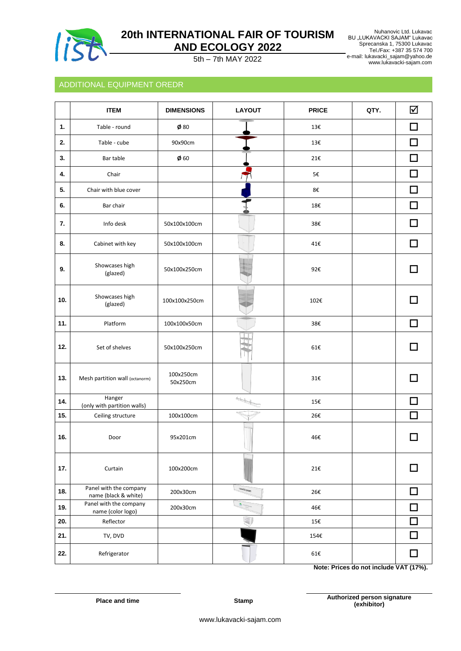

 Nuhanovic Ltd. Lukavac BU "LUKAVACKI SAJAM" Lukavac Sprecanska 1, 75300 Lukavac Tel./Fax: +387 35 574 700 e-mail: lukavacki\_sajam@yahoo.de www.lukavacki-sajam.com 5th – 7th MAY 2022

# ADDITIONAL EQUIPMENT OREDR

|                | <b>ITEM</b>                                    | <b>DIMENSIONS</b>     | <b>LAYOUT</b>                  | <b>PRICE</b>                             | QTY. | ☑          |
|----------------|------------------------------------------------|-----------------------|--------------------------------|------------------------------------------|------|------------|
| $\mathbf{1}$ . | Table - round                                  | $\phi$ 80             |                                | 13€                                      |      |            |
| 2.             | Table - cube                                   | 90x90cm               |                                | 13€                                      |      |            |
| 3.             | Bar table                                      | $\phi$ 60             |                                | 21€                                      |      |            |
| 4.             | Chair                                          |                       |                                | 5€                                       |      |            |
| 5.             | Chair with blue cover                          |                       |                                | 8€                                       |      |            |
| 6.             | Bar chair                                      |                       |                                | 18€                                      |      |            |
| 7.             | Info desk                                      | 50x100x100cm          |                                | 38€                                      |      |            |
| 8.             | Cabinet with key                               | 50x100x100cm          |                                | 41€                                      |      |            |
| 9.             | Showcases high<br>(glazed)                     | 50x100x250cm          |                                | 92€                                      |      |            |
| 10.            | Showcases high<br>(glazed)                     | 100x100x250cm         |                                | 102€                                     |      |            |
| 11.            | Platform                                       | 100x100x50cm          |                                | 38€                                      |      | П          |
| 12.            | Set of shelves                                 | 50x100x250cm          |                                | 61€                                      |      |            |
| 13.            | Mesh partition wall (octanorm)                 | 100x250cm<br>50x250cm |                                | 31€                                      |      |            |
| 14.            | Hanger<br>(only with partition walls)          |                       | $\overline{\phantom{a}}$       | 15€                                      |      |            |
| 15.            | Ceiling structure                              | 100x100cm             |                                | 26€                                      |      |            |
| 16.            | Door                                           | 95x201cm              |                                | 46€                                      |      |            |
| 17.            | Curtain                                        | 100x200cm             |                                | 21€                                      |      |            |
| 18.            | Panel with the company<br>name (black & white) | 200x30cm              | MADI2 SOAN                     | 26€                                      |      | П          |
| 19.            | Panel with the company<br>name (color logo)    | 200x30cm              | <b>IN <sup>UCASS</sup> MAN</b> | 46€                                      |      | П          |
| 20.            | Reflector                                      |                       |                                | 15€                                      |      |            |
| 21.            | TV, DVD                                        |                       |                                | 154€                                     |      |            |
| 22.            | Refrigerator                                   |                       |                                | $61\!\!\cdot\!\!\cdot\!\!\cdot\!\!\cdot$ |      | 1147177701 |

**Note: Prices do not include VAT (17%).**

**Place and time Stamp** 

**Authorized person signature (exhibitor)**

www.lukavacki-sajam.com